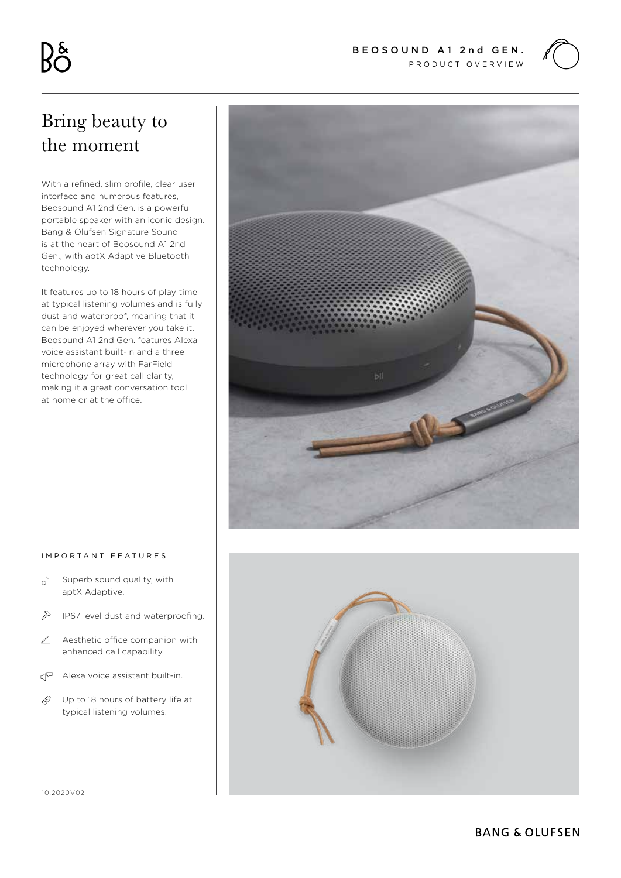

# Bring beauty to the moment

With a refined, slim profile, clear user interface and numerous features, Beosound A1 2nd Gen. is a powerful portable speaker with an iconic design. Bang & Olufsen Signature Sound is at the heart of Beosound A1 2nd Gen., with aptX Adaptive Bluetooth technology.

It features up to 18 hours of play time at typical listening volumes and is fully dust and waterproof, meaning that it can be enjoyed wherever you take it. Beosound A1 2nd Gen. features Alexa voice assistant built-in and a three microphone array with FarField technology for great call clarity, making it a great conversation tool at home or at the office.



#### IMPORTANT FEATURES

- $\sigma$ Superb sound quality, with aptX Adaptive.
- $\bigotimes$ IP67 level dust and waterproofing.
- Aesthetic office companion with L enhanced call capability.
- $\mathbb{C}$  Alexa voice assistant built-in.
- B) Up to 18 hours of battery life at typical listening volumes.



10.2020V02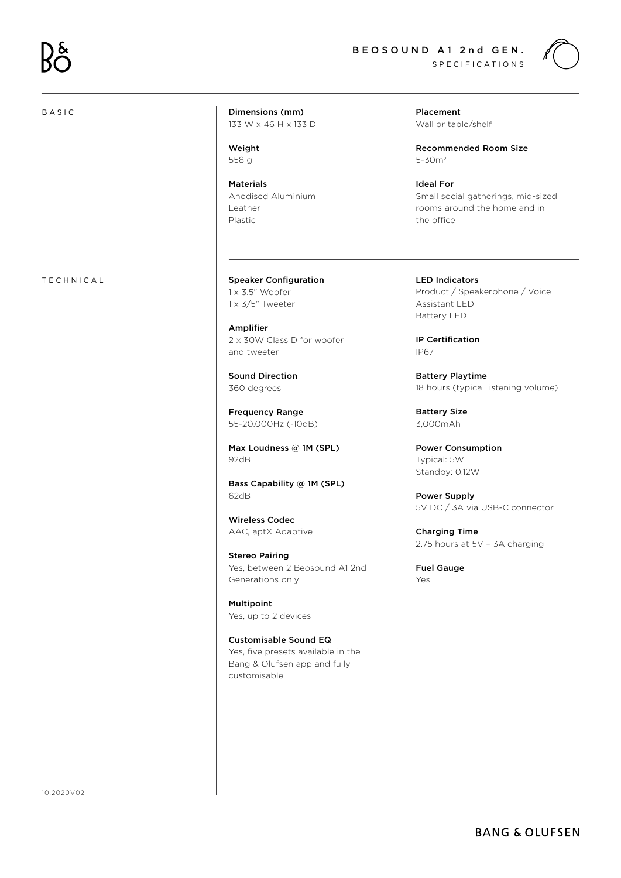## BASIC



Dimensions (mm) 133 W x 46 H x 133 D

Weight 558 g

Materials Anodised Aluminium Leather Plastic

TECHNICAL Speaker Configuration 1 x 3.5" Woofer 1 x 3/5" Tweeter

> Amplifier 2 x 30W Class D for woofer and tweeter

Sound Direction 360 degrees

Frequency Range 55-20.000Hz (-10dB)

Max Loudness @ 1M (SPL) 92dB

Bass Capability @ 1M (SPL) 62dB

Wireless Codec AAC, aptX Adaptive

Stereo Pairing Yes, between 2 Beosound A1 2nd Generations only

Multipoint Yes, up to 2 devices

Customisable Sound EQ Yes, five presets available in the Bang & Olufsen app and fully customisable

Placement Wall or table/shelf

Recommended Room Size 5-30m2

Ideal For Small social gatherings, mid-sized rooms around the home and in the office

LED Indicators Product / Speakerphone / Voice Assistant LED Battery LED

IP Certification IP67

Battery Playtime 18 hours (typical listening volume)

Battery Size 3,000mAh

Power Consumption Typical: 5W Standby: 0.12W

Power Supply 5V DC / 3A via USB-C connector

Charging Time 2.75 hours at 5V – 3A charging

Fuel Gauge Yes

10.2020V02

## **BANG & OLUFSEN**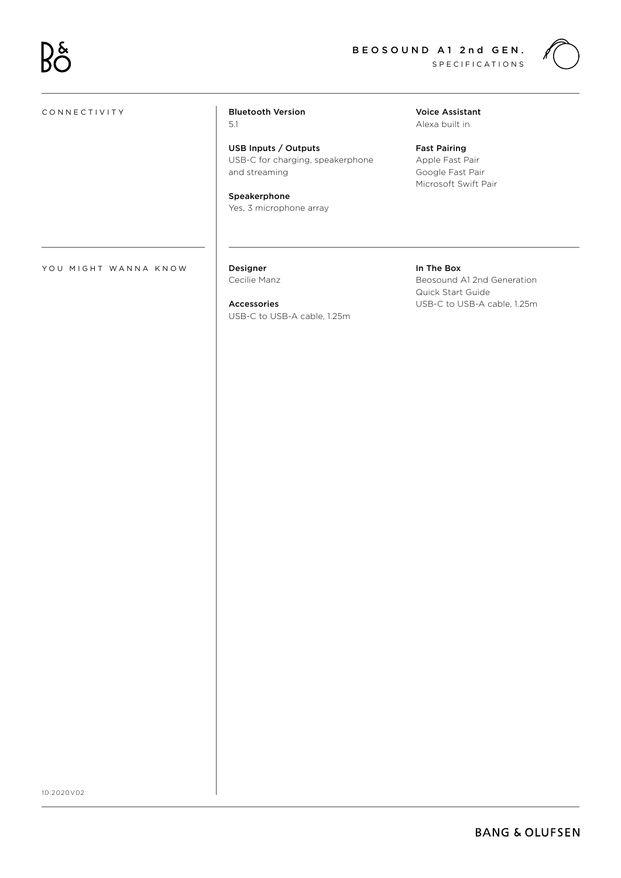

### CONNECTIVITY

## Bluetooth Version 5.1

USB Inputs / Outputs USB-C for charging, speakerphone and streaming

Speakerphone Yes, 3 microphone array Voice Assistant Alexa built in

Fast Pairing Apple Fast Pair Google Fast Pair Microsoft Swift Pair

YOU MIGHT WANNA KNOW

Designer Cecilie Manz

Accessories USB-C to USB-A cable, 1.25m In The Box Beosound A1 2nd Generation Quick Start Guide USB-C to USB-A cable, 1.25m

10.2020V02